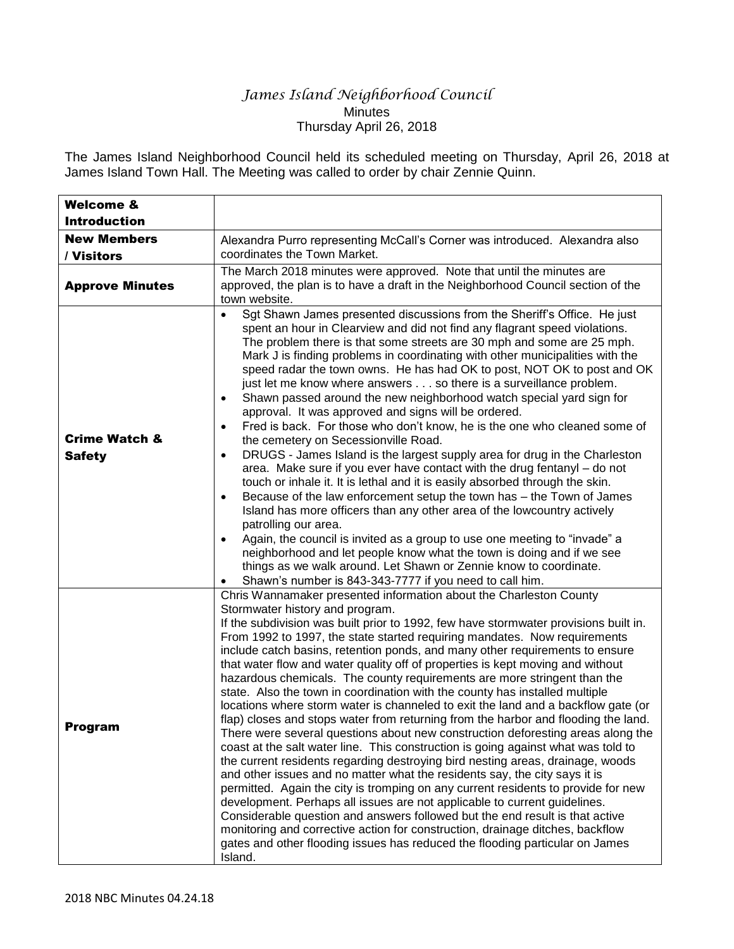## *James Island Neighborhood Council* **Minutes** Thursday April 26, 2018

The James Island Neighborhood Council held its scheduled meeting on Thursday, April 26, 2018 at James Island Town Hall. The Meeting was called to order by chair Zennie Quinn.

| <b>Welcome &amp;</b><br><b>Introduction</b> |                                                                                                                                                                                                                                                                                                                                                                                                                                                                                                                                                                                                                                                                                                                                                                                                                                                                                                                                                                                                                                                                                                                                                                                                                                                                                                                                                                                                                                                                                                                                                          |
|---------------------------------------------|----------------------------------------------------------------------------------------------------------------------------------------------------------------------------------------------------------------------------------------------------------------------------------------------------------------------------------------------------------------------------------------------------------------------------------------------------------------------------------------------------------------------------------------------------------------------------------------------------------------------------------------------------------------------------------------------------------------------------------------------------------------------------------------------------------------------------------------------------------------------------------------------------------------------------------------------------------------------------------------------------------------------------------------------------------------------------------------------------------------------------------------------------------------------------------------------------------------------------------------------------------------------------------------------------------------------------------------------------------------------------------------------------------------------------------------------------------------------------------------------------------------------------------------------------------|
| <b>New Members</b><br>/ Visitors            | Alexandra Purro representing McCall's Corner was introduced. Alexandra also<br>coordinates the Town Market.                                                                                                                                                                                                                                                                                                                                                                                                                                                                                                                                                                                                                                                                                                                                                                                                                                                                                                                                                                                                                                                                                                                                                                                                                                                                                                                                                                                                                                              |
| <b>Approve Minutes</b>                      | The March 2018 minutes were approved. Note that until the minutes are<br>approved, the plan is to have a draft in the Neighborhood Council section of the<br>town website.                                                                                                                                                                                                                                                                                                                                                                                                                                                                                                                                                                                                                                                                                                                                                                                                                                                                                                                                                                                                                                                                                                                                                                                                                                                                                                                                                                               |
| <b>Crime Watch &amp;</b><br><b>Safety</b>   | Sgt Shawn James presented discussions from the Sheriff's Office. He just<br>spent an hour in Clearview and did not find any flagrant speed violations.<br>The problem there is that some streets are 30 mph and some are 25 mph.<br>Mark J is finding problems in coordinating with other municipalities with the<br>speed radar the town owns. He has had OK to post, NOT OK to post and OK<br>just let me know where answers so there is a surveillance problem.<br>Shawn passed around the new neighborhood watch special yard sign for<br>$\bullet$<br>approval. It was approved and signs will be ordered.<br>Fred is back. For those who don't know, he is the one who cleaned some of<br>$\bullet$<br>the cemetery on Secessionville Road.<br>DRUGS - James Island is the largest supply area for drug in the Charleston<br>$\bullet$<br>area. Make sure if you ever have contact with the drug fentanyl - do not<br>touch or inhale it. It is lethal and it is easily absorbed through the skin.<br>Because of the law enforcement setup the town has - the Town of James<br>$\bullet$<br>Island has more officers than any other area of the lowcountry actively<br>patrolling our area.<br>Again, the council is invited as a group to use one meeting to "invade" a<br>$\bullet$<br>neighborhood and let people know what the town is doing and if we see<br>things as we walk around. Let Shawn or Zennie know to coordinate.<br>Shawn's number is 843-343-7777 if you need to call him.                                                     |
| <b>Program</b>                              | Chris Wannamaker presented information about the Charleston County<br>Stormwater history and program.<br>If the subdivision was built prior to 1992, few have stormwater provisions built in.<br>From 1992 to 1997, the state started requiring mandates. Now requirements<br>include catch basins, retention ponds, and many other requirements to ensure<br>that water flow and water quality off of properties is kept moving and without<br>hazardous chemicals. The county requirements are more stringent than the<br>state. Also the town in coordination with the county has installed multiple<br>locations where storm water is channeled to exit the land and a backflow gate (or<br>flap) closes and stops water from returning from the harbor and flooding the land.<br>There were several questions about new construction deforesting areas along the<br>coast at the salt water line. This construction is going against what was told to<br>the current residents regarding destroying bird nesting areas, drainage, woods<br>and other issues and no matter what the residents say, the city says it is<br>permitted. Again the city is tromping on any current residents to provide for new<br>development. Perhaps all issues are not applicable to current quidelines.<br>Considerable question and answers followed but the end result is that active<br>monitoring and corrective action for construction, drainage ditches, backflow<br>gates and other flooding issues has reduced the flooding particular on James<br>Island. |